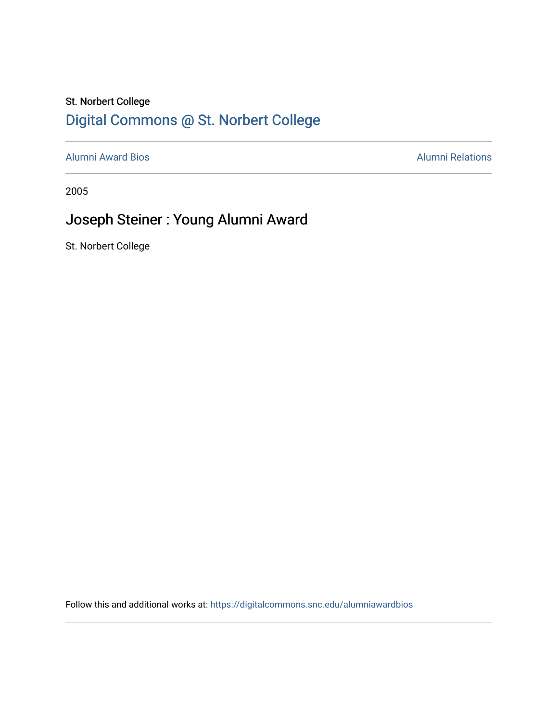### St. Norbert College [Digital Commons @ St. Norbert College](https://digitalcommons.snc.edu/)

[Alumni Award Bios](https://digitalcommons.snc.edu/alumniawardbios) **Alumni Relations** Alumni Relations

2005

## Joseph Steiner : Young Alumni Award

St. Norbert College

Follow this and additional works at: [https://digitalcommons.snc.edu/alumniawardbios](https://digitalcommons.snc.edu/alumniawardbios?utm_source=digitalcommons.snc.edu%2Falumniawardbios%2F21&utm_medium=PDF&utm_campaign=PDFCoverPages)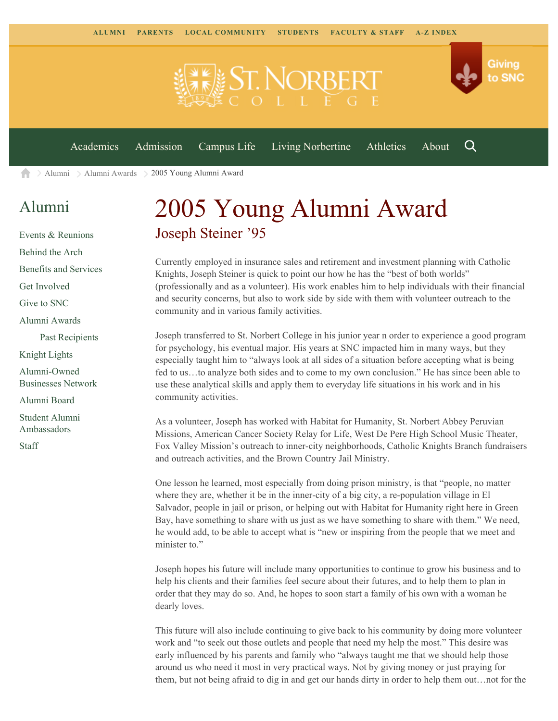

[Alumni](https://www.snc.edu/alumni/) [Alumni Awards](https://www.snc.edu/alumni/awards/) 2005 Young Alumni Award A

#### [Alumni](https://www.snc.edu/alumni/index.html)

[Events & Reunions](https://www.snc.edu/alumni/event/index.html) [Behind the Arch](https://www.snc.edu/alumni/event/behindthearch/) [Benefits and Services](https://www.snc.edu/alumni/benefits.html) [Get Involved](https://www.snc.edu/alumni/getinvolved.html) [Give to SNC](http://giving.snc.edu/) [Alumni Awards](https://www.snc.edu/alumni/awards/index.html) [Past Recipients](https://www.snc.edu/alumni/awards/recipients.html) [Knight Lights](https://www.snc.edu/alumni/knightlights/index.html) [Alumni-Owned](https://www.snc.edu/alumni/directory/index.html) [Businesses Network](https://www.snc.edu/alumni/directory/index.html) [Alumni Board](https://www.snc.edu/alumni/alumniboard.html) [Student Alumni](https://www.snc.edu/alumni/saa.html) [Ambassadors](https://www.snc.edu/alumni/saa.html)

[Staff](https://www.snc.edu/alumni/contactus.html)

# 2005 Young Alumni Award Joseph Steiner '95

Currently employed in insurance sales and retirement and investment planning with Catholic Knights, Joseph Steiner is quick to point our how he has the "best of both worlds" (professionally and as a volunteer). His work enables him to help individuals with their financial and security concerns, but also to work side by side with them with volunteer outreach to the community and in various family activities.

Joseph transferred to St. Norbert College in his junior year n order to experience a good program for psychology, his eventual major. His years at SNC impacted him in many ways, but they especially taught him to "always look at all sides of a situation before accepting what is being fed to us…to analyze both sides and to come to my own conclusion." He has since been able to use these analytical skills and apply them to everyday life situations in his work and in his community activities.

As a volunteer, Joseph has worked with Habitat for Humanity, St. Norbert Abbey Peruvian Missions, American Cancer Society Relay for Life, West De Pere High School Music Theater, Fox Valley Mission's outreach to inner-city neighborhoods, Catholic Knights Branch fundraisers and outreach activities, and the Brown Country Jail Ministry.

One lesson he learned, most especially from doing prison ministry, is that "people, no matter where they are, whether it be in the inner-city of a big city, a re-population village in El Salvador, people in jail or prison, or helping out with Habitat for Humanity right here in Green Bay, have something to share with us just as we have something to share with them." We need, he would add, to be able to accept what is "new or inspiring from the people that we meet and minister to."

Joseph hopes his future will include many opportunities to continue to grow his business and to help his clients and their families feel secure about their futures, and to help them to plan in order that they may do so. And, he hopes to soon start a family of his own with a woman he dearly loves.

This future will also include continuing to give back to his community by doing more volunteer work and "to seek out those outlets and people that need my help the most." This desire was early influenced by his parents and family who "always taught me that we should help those around us who need it most in very practical ways. Not by giving money or just praying for them, but not being afraid to dig in and get our hands dirty in order to help them out…not for the